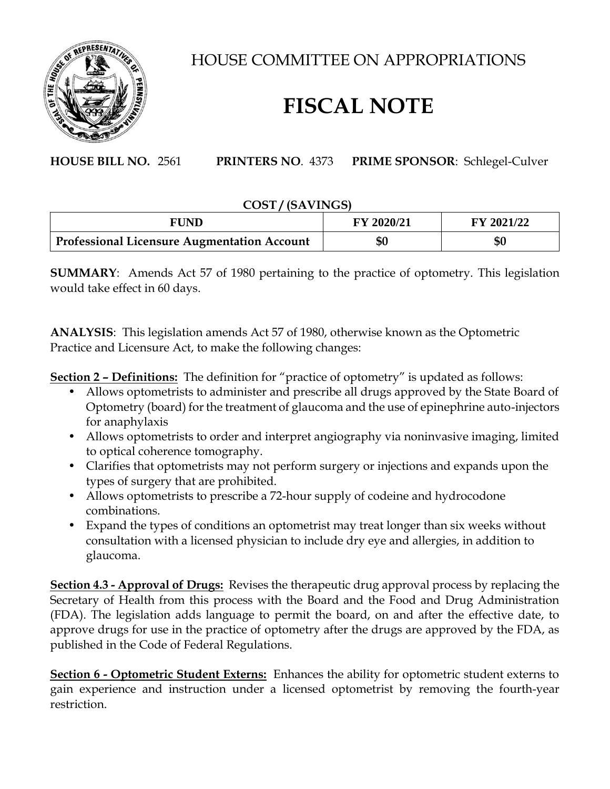

HOUSE COMMITTEE ON APPROPRIATIONS

## **FISCAL NOTE**

**HOUSE BILL NO.** 2561 **PRINTERS NO**. 4373 **PRIME SPONSOR**: Schlegel-Culver

## **COST / (SAVINGS)**

| FUND                                               | FY 2020/21 | FY 2021/22 |
|----------------------------------------------------|------------|------------|
| <b>Professional Licensure Augmentation Account</b> | \$0        | \$0        |

**SUMMARY**: Amends Act 57 of 1980 pertaining to the practice of optometry. This legislation would take effect in 60 days.

**ANALYSIS**: This legislation amends Act 57 of 1980, otherwise known as the Optometric Practice and Licensure Act, to make the following changes:

**Section 2 – Definitions:** The definition for "practice of optometry" is updated as follows:

- Allows optometrists to administer and prescribe all drugs approved by the State Board of Optometry (board) for the treatment of glaucoma and the use of epinephrine auto-injectors for anaphylaxis
- Allows optometrists to order and interpret angiography via noninvasive imaging, limited to optical coherence tomography.
- Clarifies that optometrists may not perform surgery or injections and expands upon the types of surgery that are prohibited.
- Allows optometrists to prescribe a 72-hour supply of codeine and hydrocodone combinations.
- Expand the types of conditions an optometrist may treat longer than six weeks without consultation with a licensed physician to include dry eye and allergies, in addition to glaucoma.

**Section 4.3 - Approval of Drugs:** Revises the therapeutic drug approval process by replacing the Secretary of Health from this process with the Board and the Food and Drug Administration (FDA). The legislation adds language to permit the board, on and after the effective date, to approve drugs for use in the practice of optometry after the drugs are approved by the FDA, as published in the Code of Federal Regulations.

**Section 6 - Optometric Student Externs:** Enhances the ability for optometric student externs to gain experience and instruction under a licensed optometrist by removing the fourth-year restriction.